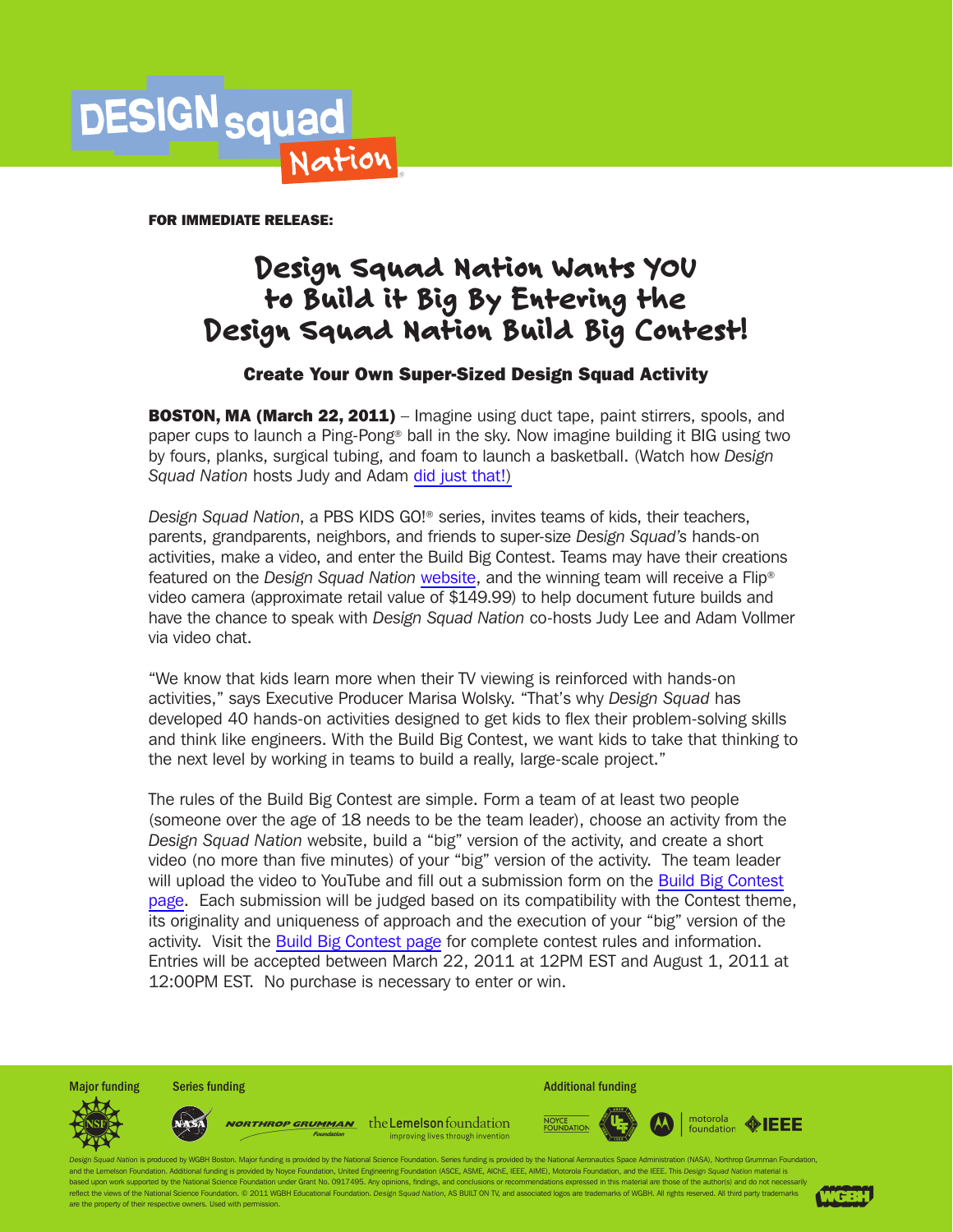

FOR IMMEDIATE RELEASE:

# Design Squad Nation Wants YOU to Build it Big By Entering the Design Squad Nation Build Big Contest!

# Create Your Own Super-Sized Design Squad Activity

**BOSTON, MA (March 22, 2011)** – Imagine using duct tape, paint stirrers, spools, and paper cups to launch a Ping-Pong® ball in the sky. Now imagine building it BIG using two by fours, planks, surgical tubing, and foam to launch a basketball. (Watch how *Design Squad Nation* hosts Judy and Adam [did just that!\)](http://www.youtube.com/watch?v=XuFjBMQl2qM)

*Design Squad Nation*, a PBS KIDS GO!® series, invites teams of kids, their teachers, parents, grandparents, neighbors, and friends to super-size *Design Squad's* hands-on activities, make a video, and enter the Build Big Contest. Teams may have their creations featured on the *Design Squad Nation* [website,](http://www.pbskidsgo.org/designsquadnation) and the winning team will receive a Flip® video camera (approximate retail value of \$149.99) to help document future builds and have the chance to speak with *Design Squad Nation* co-hosts Judy Lee and Adam Vollmer via video chat.

"We know that kids learn more when their TV viewing is reinforced with hands-on activities," says Executive Producer Marisa Wolsky. "That's why *Design Squad* has developed 40 hands-on activities designed to get kids to flex their problem-solving skills and think like engineers. With the Build Big Contest, we want kids to take that thinking to the next level by working in teams to build a really, large-scale project."

The rules of the Build Big Contest are simple. Form a team of at least two people (someone over the age of 18 needs to be the team leader), choose an activity from the *Design Squad Nation* website, build a "big" version of the activity, and create a short video (no more than five minutes) of your "big" version of the activity. The team leader will upload the video to YouTube and fill out a submission form on the [Build Big Contest](http://pbskids.org/designsquad/contest/index.html)  [page](http://pbskids.org/designsquad/contest/index.html). Each submission will be judged based on its compatibility with the Contest theme, its originality and uniqueness of approach and the execution of your "big" version of the activity. Visit the [Build Big Contest page](http://pbskids.org/designsquad/contest/index.html) for complete contest rules and information. Entries will be accepted between March 22, 2011 at 12PM EST and August 1, 2011 at 12:00PM EST. No purchase is necessary to enter or win.





worthrop grumman the Lemelson foundation improving lives through invention



motorola ◈IEEE foundation

of Nation is produced by WGBH Boston. Major funding is provided by the National Science Foundation, Series funding is provided by the National Aeronautics Space Administration (NASA), Northrop Grumman Foundation and the Lemelson Foundation. Additional funding is provided by Noyce Foundation, United Engineering Foundation (ASCE, ASME, AIChE, IEEE, AIME), Motorola Foundation, and the IEEE. This *Design Squad Nation* material is d upon work supported by the National Science Foundation under Grant No. 0917495. Any opinions, findings, and conclusions or recommendations expressed in this material are those of the author(s) and do not neces reflect the views of the National Science Foundation. © 2011 WGBH Educational Foundation. Design Squad Nation, AS BUILT ON TV, and associated logos are trademarks of WGBH. All rights reserved. All third party trademarks are the property of their respective owners. Used with pen

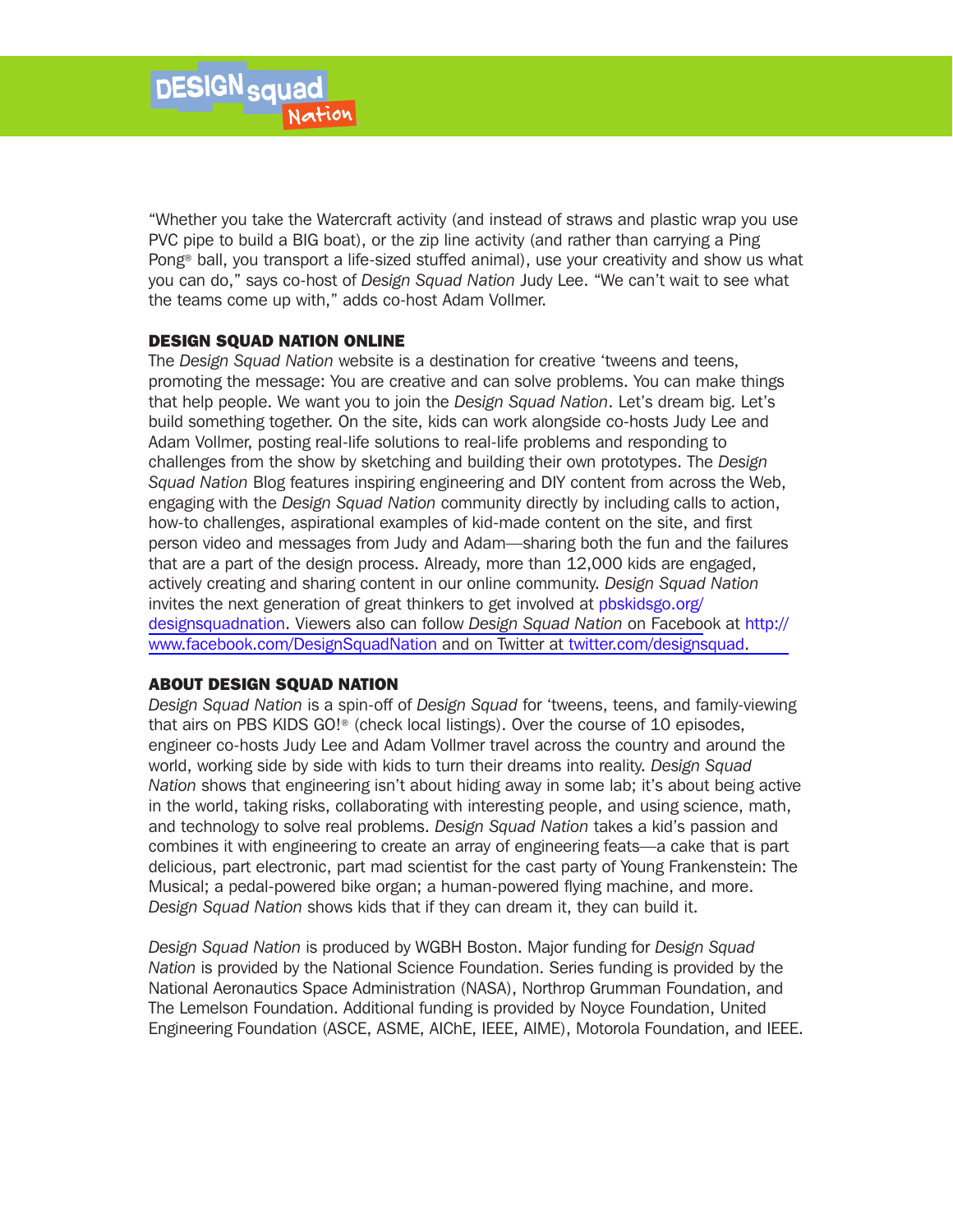"Whether you take the Watercraft activity (and instead of straws and plastic wrap you use PVC pipe to build a BIG boat), or the zip line activity (and rather than carrying a Ping Pong® ball, you transport a life-sized stuffed animal), use your creativity and show us what you can do," says co-host of *Design Squad Nation* Judy Lee. "We can't wait to see what the teams come up with," adds co-host Adam Vollmer.

## DESIGN SQUAD NATION ONLINE

The *Design Squad Nation* website is a destination for creative 'tweens and teens, promoting the message: You are creative and can solve problems. You can make things that help people. We want you to join the *Design Squad Nation*. Let's dream big. Let's build something together. On the site, kids can work alongside co-hosts Judy Lee and Adam Vollmer, posting real-life solutions to real-life problems and responding to challenges from the show by sketching and building their own prototypes. The *Design Squad Nation* Blog features inspiring engineering and DIY content from across the Web, engaging with the *Design Squad Nation* community directly by including calls to action, how-to challenges, aspirational examples of kid-made content on the site, and first person video and messages from Judy and Adam—sharing both the fun and the failures that are a part of the design process. Already, more than 12,000 kids are engaged, actively creating and sharing content in our online community. *Design Squad Nation* [invites the next generation of great thinkers to get involved at pbskidsgo.org/](http://www.pbskidsgo.org/designsquadnation) designsquadnation. Viewers also can follow *Design Squad Nation* on Facebook at http:// [www.facebook.com/DesignSquadNation and on Twitter at twitter.com/designsquad.](http://www.facebook.com/DesignSquadNation)

## ABOUT DESIGN SQUAD NATION

*Design Squad Nation* is a spin-off of *Design Squad* for 'tweens, teens, and family-viewing that airs on PBS KIDS GO!® (check local listings). Over the course of 10 episodes, engineer co-hosts Judy Lee and Adam Vollmer travel across the country and around the world, working side by side with kids to turn their dreams into reality. *Design Squad Nation* shows that engineering isn't about hiding away in some lab; it's about being active in the world, taking risks, collaborating with interesting people, and using science, math, and technology to solve real problems. *Design Squad Nation* takes a kid's passion and combines it with engineering to create an array of engineering feats—a cake that is part delicious, part electronic, part mad scientist for the cast party of Young Frankenstein: The Musical; a pedal-powered bike organ; a human-powered flying machine, and more. *Design Squad Nation* shows kids that if they can dream it, they can build it.

*Design Squad Nation* is produced by WGBH Boston. Major funding for *Design Squad Nation* is provided by the National Science Foundation. Series funding is provided by the National Aeronautics Space Administration (NASA), Northrop Grumman Foundation, and The Lemelson Foundation. Additional funding is provided by Noyce Foundation, United Engineering Foundation (ASCE, ASME, AIChE, IEEE, AIME), Motorola Foundation, and IEEE.